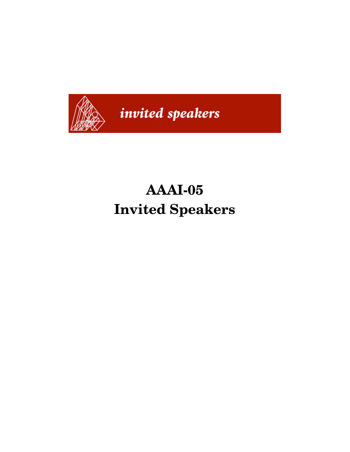

# **AAAI-05 Invited Speakers**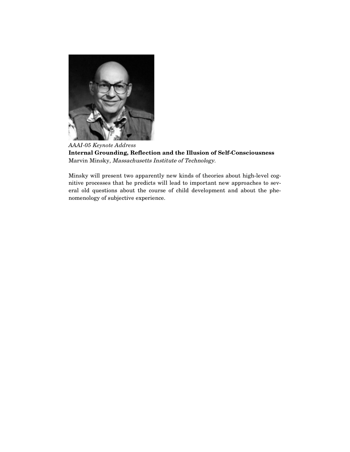

*AAAI-05 Keynote Address* **Internal Grounding, Reflection and the Illusion of Self-Consciousness** Marvin Minsky, Massachusetts Institute of Technology.

Minsky will present two apparently new kinds of theories about high-level cognitive processes that he predicts will lead to important new approaches to several old questions about the course of child development and about the phenomenology of subjective experience.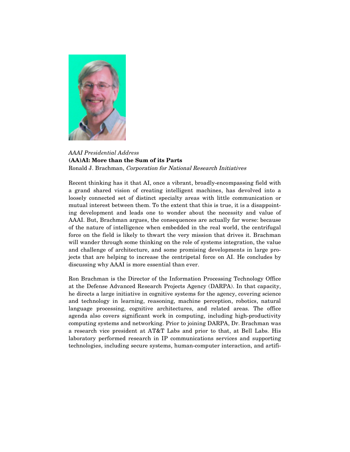

#### *AAAI Presidential Address* **(AA)AI: More than the Sum of its Parts** Ronald J. Brachman, Corporation for National Research Initiatives

Recent thinking has it that AI, once a vibrant, broadly-encompassing field with a grand shared vision of creating intelligent machines, has devolved into a loosely connected set of distinct specialty areas with little communication or mutual interest between them. To the extent that this is true, it is a disappointing development and leads one to wonder about the necessity and value of AAAI. But, Brachman argues, the consequences are actually far worse: because of the nature of intelligence when embedded in the real world, the centrifugal force on the field is likely to thwart the very mission that drives it. Brachman will wander through some thinking on the role of systems integration, the value and challenge of architecture, and some promising developments in large projects that are helping to increase the centripetal force on AI. He concludes by discussing why AAAI is more essential than ever.

Ron Brachman is the Director of the Information Processing Technology Office at the Defense Advanced Research Projects Agency (DARPA). In that capacity, he directs a large initiative in cognitive systems for the agency, covering science and technology in learning, reasoning, machine perception, robotics, natural language processing, cognitive architectures, and related areas. The office agenda also covers significant work in computing, including high-productivity computing systems and networking. Prior to joining DARPA, Dr. Brachman was a research vice president at AT&T Labs and prior to that, at Bell Labs. His laboratory performed research in IP communications services and supporting technologies, including secure systems, human-computer interaction, and artifi-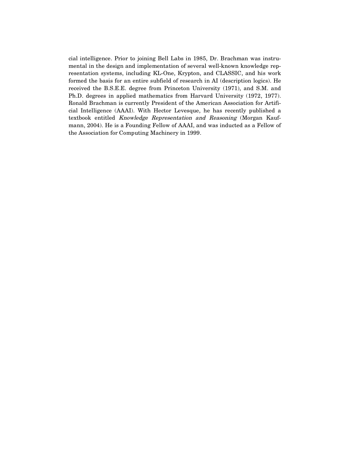cial intelligence. Prior to joining Bell Labs in 1985, Dr. Brachman was instrumental in the design and implementation of several well-known knowledge representation systems, including KL-One, Krypton, and CLASSIC, and his work formed the basis for an entire subfield of research in AI (description logics). He received the B.S.E.E. degree from Princeton University (1971), and S.M. and Ph.D. degrees in applied mathematics from Harvard University (1972, 1977). Ronald Brachman is currently President of the American Association for Artificial Intelligence (AAAI). With Hector Levesque, he has recently published a textbook entitled Knowledge Representation and Reasoning (Morgan Kaufmann, 2004). He is a Founding Fellow of AAAI, and was inducted as a Fellow of the Association for Computing Machinery in 1999.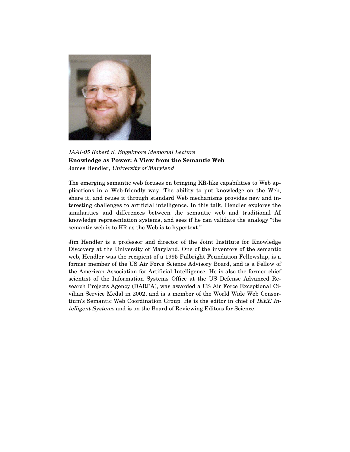

IAAI-05 Robert S. Engelmore Memorial Lecture **Knowledge as Power: A View from the Semantic Web** James Hendler, University of Maryland

The emerging semantic web focuses on bringing KR-like capabilities to Web applications in a Web-friendly way. The ability to put knowledge on the Web, share it, and reuse it through standard Web mechanisms provides new and interesting challenges to artificial intelligence. In this talk, Hendler explores the similarities and differences between the semantic web and traditional AI knowledge representation systems, and sees if he can validate the analogy "the semantic web is to KR as the Web is to hypertext."

Jim Hendler is a professor and director of the Joint Institute for Knowledge Discovery at the University of Maryland. One of the inventors of the semantic web, Hendler was the recipient of a 1995 Fulbright Foundation Fellowship, is a former member of the US Air Force Science Advisory Board, and is a Fellow of the American Association for Artificial Intelligence. He is also the former chief scientist of the Information Systems Office at the US Defense Advanced Research Projects Agency (DARPA), was awarded a US Air Force Exceptional Civilian Service Medal in 2002, and is a member of the World Wide Web Consortium's Semantic Web Coordination Group. He is the editor in chief of IEEE Intelligent Systems and is on the Board of Reviewing Editors for Science.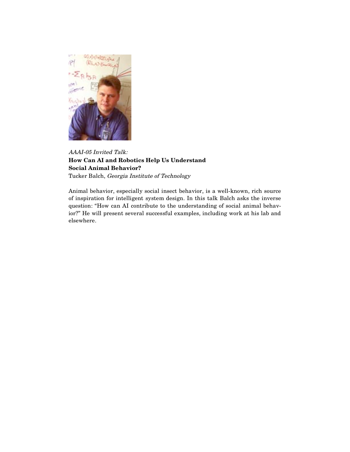

## AAAI-05 Invited Talk: **How Can AI and Robotics Help Us Understand Social Animal Behavior?** Tucker Balch, Georgia Institute of Technology

Animal behavior, especially social insect behavior, is a well-known, rich source of inspiration for intelligent system design. In this talk Balch asks the inverse question: "How can AI contribute to the understanding of social animal behavior?" He will present several successful examples, including work at his lab and elsewhere.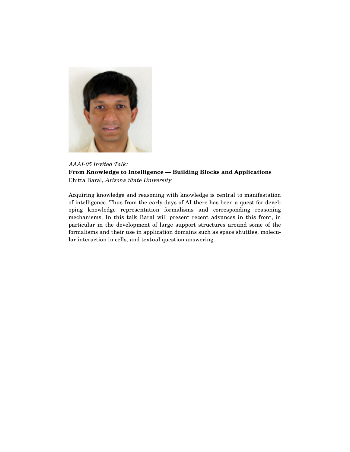

#### AAAI-05 Invited Talk: **From Knowledge to Intelligence — Building Blocks and Applications** Chitta Baral, Arizona State University

Acquiring knowledge and reasoning with knowledge is central to manifestation of intelligence. Thus from the early days of AI there has been a quest for developing knowledge representation formalisms and corresponding reasoning mechanisms. In this talk Baral will present recent advances in this front, in particular in the development of large support structures around some of the formalisms and their use in application domains such as space shuttles, molecular interaction in cells, and textual question answering.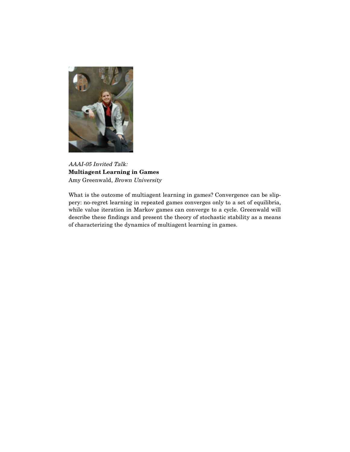

AAAI-05 Invited Talk: **Multiagent Learning in Games** Amy Greenwald, Brown University

What is the outcome of multiagent learning in games? Convergence can be slippery: no-regret learning in repeated games converges only to a set of equilibria, while value iteration in Markov games can converge to a cycle. Greenwald will describe these findings and present the theory of stochastic stability as a means of characterizing the dynamics of multiagent learning in games.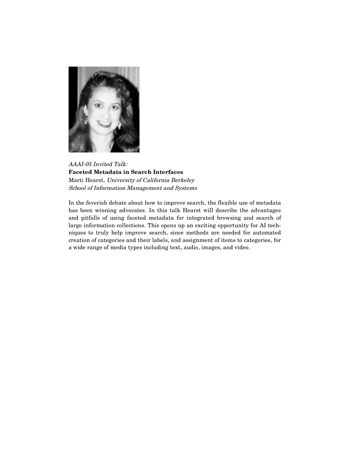

AAAI-05 Invited Talk: **Faceted Metadata in Search Interfaces** Marti Hearst, University of California Berkeley School of Information Management and Systems

In the feverish debate about how to improve search, the flexible use of metadata has been winning advocates. In this talk Hearst will describe the advantages and pitfalls of using faceted metadata for integrated browsing and search of large information collections. This opens up an exciting opportunity for AI techniques to truly help improve search, since methods are needed for automated creation of categories and their labels, and assignment of items to categories, for a wide range of media types including text, audio, images, and video.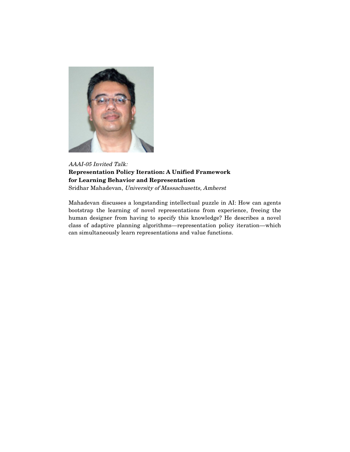

#### AAAI-05 Invited Talk: **Representation Policy Iteration: A Unified Framework for Learning Behavior and Representation** Sridhar Mahadevan, University of Massachusetts, Amherst

Mahadevan discusses a longstanding intellectual puzzle in AI: How can agents bootstrap the learning of novel representations from experience, freeing the human designer from having to specify this knowledge? He describes a novel class of adaptive planning algorithms—representation policy iteration—which can simultaneously learn representations and value functions.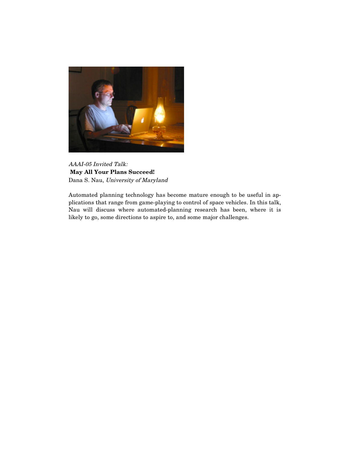

AAAI-05 Invited Talk: **May All Your Plans Succeed!** Dana S. Nau, University of Maryland

Automated planning technology has become mature enough to be useful in applications that range from game-playing to control of space vehicles. In this talk, Nau will discuss where automated-planning research has been, where it is likely to go, some directions to aspire to, and some major challenges.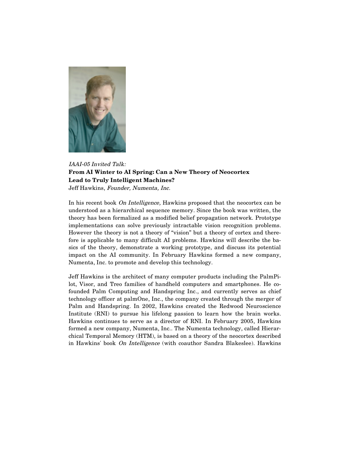

# IAAI-05 Invited Talk: **From AI Winter to AI Spring: Can a New Theory of Neocortex Lead to Truly Intelligent Machines?**

Jeff Hawkins, Founder, Numenta, Inc.

In his recent book On Intelligence, Hawkins proposed that the neocortex can be understood as a hierarchical sequence memory. Since the book was written, the theory has been formalized as a modified belief propagation network. Prototype implementations can solve previously intractable vision recognition problems. However the theory is not a theory of "vision" but a theory of cortex and therefore is applicable to many difficult AI problems. Hawkins will describe the basics of the theory, demonstrate a working prototype, and discuss its potential impact on the AI community. In February Hawkins formed a new company, Numenta, Inc. to promote and develop this technology.

Jeff Hawkins is the architect of many computer products including the PalmPilot, Visor, and Treo families of handheld computers and smartphones. He cofounded Palm Computing and Handspring Inc., and currently serves as chief technology officer at palmOne, Inc., the company created through the merger of Palm and Handspring. In 2002, Hawkins created the Redwood Neuroscience Institute (RNI) to pursue his lifelong passion to learn how the brain works. Hawkins continues to serve as a director of RNI. In February 2005, Hawkins formed a new company, Numenta, Inc.. The Numenta technology, called Hierarchical Temporal Memory (HTM), is based on a theory of the neocortex described in Hawkins' book On Intelligence (with coauthor Sandra Blakeslee). Hawkins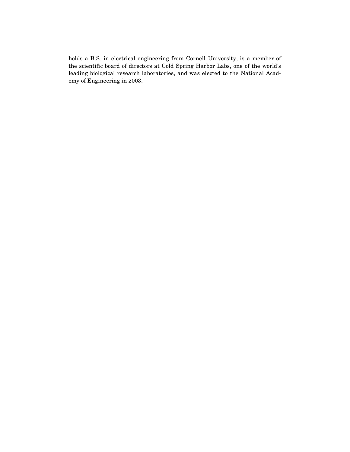holds a B.S. in electrical engineering from Cornell University, is a member of the scientific board of directors at Cold Spring Harbor Labs, one of the world's leading biological research laboratories, and was elected to the National Academy of Engineering in 2003.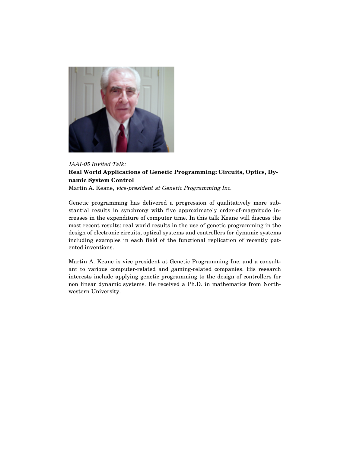

## IAAI-05 Invited Talk: **Real World Applications of Genetic Programming: Circuits, Optics, Dynamic System Control**

Martin A. Keane, vice-president at Genetic Programming Inc.

Genetic programming has delivered a progression of qualitatively more substantial results in synchrony with five approximately order-of-magnitude increases in the expenditure of computer time. In this talk Keane will discuss the most recent results: real world results in the use of genetic programming in the design of electronic circuits, optical systems and controllers for dynamic systems including examples in each field of the functional replication of recently patented inventions.

Martin A. Keane is vice president at Genetic Programming Inc. and a consultant to various computer-related and gaming-related companies. His research interests include applying genetic programming to the design of controllers for non linear dynamic systems. He received a Ph.D. in mathematics from Northwestern University.